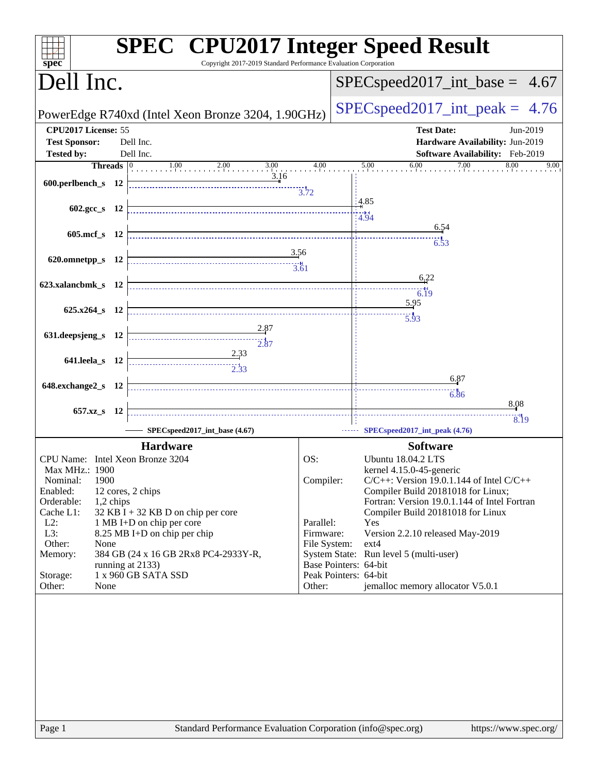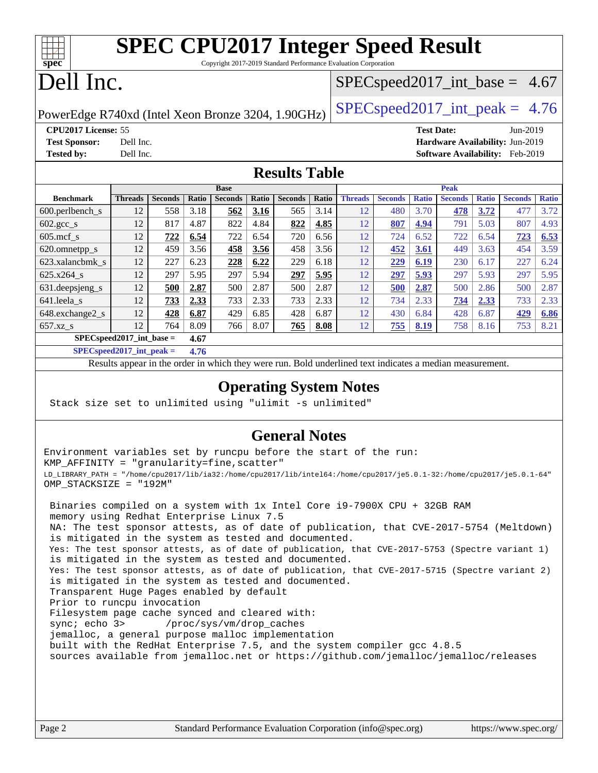| ĦТ<br>spec <sup>®</sup>                                                                                                                                                                                                                                                                                                                                                                                                                                                                                                                                                                                                                                                                                                                                                                           |                          |                |             |                          |       |                      |       | <b>SPEC CPU2017 Integer Speed Result</b><br>Copyright 2017-2019 Standard Performance Evaluation Corporation |                |                   |                |              |                                 |              |
|---------------------------------------------------------------------------------------------------------------------------------------------------------------------------------------------------------------------------------------------------------------------------------------------------------------------------------------------------------------------------------------------------------------------------------------------------------------------------------------------------------------------------------------------------------------------------------------------------------------------------------------------------------------------------------------------------------------------------------------------------------------------------------------------------|--------------------------|----------------|-------------|--------------------------|-------|----------------------|-------|-------------------------------------------------------------------------------------------------------------|----------------|-------------------|----------------|--------------|---------------------------------|--------------|
| Dell Inc.                                                                                                                                                                                                                                                                                                                                                                                                                                                                                                                                                                                                                                                                                                                                                                                         |                          |                |             |                          |       |                      |       | $SPEC speed2017\_int\_base = 4.67$                                                                          |                |                   |                |              |                                 |              |
| PowerEdge R740xd (Intel Xeon Bronze 3204, 1.90GHz)                                                                                                                                                                                                                                                                                                                                                                                                                                                                                                                                                                                                                                                                                                                                                |                          |                |             |                          |       |                      |       | $SPEC speed2017\_int\_peak = 4.76$                                                                          |                |                   |                |              |                                 |              |
| CPU2017 License: 55                                                                                                                                                                                                                                                                                                                                                                                                                                                                                                                                                                                                                                                                                                                                                                               |                          |                |             |                          |       |                      |       |                                                                                                             |                | <b>Test Date:</b> |                |              | Jun-2019                        |              |
| <b>Test Sponsor:</b>                                                                                                                                                                                                                                                                                                                                                                                                                                                                                                                                                                                                                                                                                                                                                                              | Dell Inc.                |                |             |                          |       |                      |       |                                                                                                             |                |                   |                |              | Hardware Availability: Jun-2019 |              |
| <b>Tested by:</b>                                                                                                                                                                                                                                                                                                                                                                                                                                                                                                                                                                                                                                                                                                                                                                                 | Dell Inc.                |                |             |                          |       |                      |       |                                                                                                             |                |                   |                |              | Software Availability: Feb-2019 |              |
|                                                                                                                                                                                                                                                                                                                                                                                                                                                                                                                                                                                                                                                                                                                                                                                                   |                          |                |             |                          |       | <b>Results Table</b> |       |                                                                                                             |                |                   |                |              |                                 |              |
|                                                                                                                                                                                                                                                                                                                                                                                                                                                                                                                                                                                                                                                                                                                                                                                                   |                          |                |             | <b>Base</b>              |       |                      |       |                                                                                                             |                |                   | <b>Peak</b>    |              |                                 |              |
| <b>Benchmark</b>                                                                                                                                                                                                                                                                                                                                                                                                                                                                                                                                                                                                                                                                                                                                                                                  | <b>Threads</b>           | <b>Seconds</b> | Ratio       | <b>Seconds</b>           | Ratio | <b>Seconds</b>       | Ratio | <b>Threads</b>                                                                                              | <b>Seconds</b> | <b>Ratio</b>      | <b>Seconds</b> | <b>Ratio</b> | <b>Seconds</b>                  | <b>Ratio</b> |
| 600.perlbench_s                                                                                                                                                                                                                                                                                                                                                                                                                                                                                                                                                                                                                                                                                                                                                                                   | 12                       | 558            | 3.18        | 562                      | 3.16  | 565                  | 3.14  | 12                                                                                                          | 480            | 3.70              | 478            | 3.72         | 477                             | 3.72         |
| $602.\text{sec}\_\text{s}$                                                                                                                                                                                                                                                                                                                                                                                                                                                                                                                                                                                                                                                                                                                                                                        | 12                       | 817            | 4.87        | 822                      | 4.84  | 822                  | 4.85  | 12                                                                                                          | 807            | 4.94              | 791            | 5.03         | 807                             | 4.93         |
| $605$ .mcf s                                                                                                                                                                                                                                                                                                                                                                                                                                                                                                                                                                                                                                                                                                                                                                                      | 12                       | 722            | 6.54        | 722                      | 6.54  | 720                  | 6.56  | 12                                                                                                          | 724            | 6.52              | 722            | 6.54         | 723                             | 6.53         |
| 620.omnetpp_s                                                                                                                                                                                                                                                                                                                                                                                                                                                                                                                                                                                                                                                                                                                                                                                     | 12                       | 459            | 3.56        | 458                      | 3.56  | 458                  | 3.56  | 12                                                                                                          | 452            | 3.61              | 449            | 3.63         | 454                             | 3.59         |
| 623.xalancbmk_s                                                                                                                                                                                                                                                                                                                                                                                                                                                                                                                                                                                                                                                                                                                                                                                   | 12                       | 227            | 6.23        | 228                      | 6.22  | 229                  | 6.18  | 12                                                                                                          | 229            | 6.19              | 230            | 6.17         | 227                             | 6.24         |
| $625.x264$ <sub>S</sub>                                                                                                                                                                                                                                                                                                                                                                                                                                                                                                                                                                                                                                                                                                                                                                           | 12                       | 297            | 5.95        | 297                      | 5.94  | 297                  | 5.95  | 12                                                                                                          | 297            | 5.93              | 297            | 5.93         | 297                             | 5.95         |
| 631.deepsjeng_s                                                                                                                                                                                                                                                                                                                                                                                                                                                                                                                                                                                                                                                                                                                                                                                   | 12                       | 500            | 2.87        | 500                      | 2.87  | 500                  | 2.87  | 12                                                                                                          | 500            | 2.87              | 500            | 2.86         | 500                             | 2.87         |
| 641.leela_s                                                                                                                                                                                                                                                                                                                                                                                                                                                                                                                                                                                                                                                                                                                                                                                       | 12                       | 733            | <u>2.33</u> | 733                      | 2.33  | 733                  | 2.33  | 12                                                                                                          | 734            | 2.33              | 734            | 2.33         | 733                             | 2.33         |
| 648.exchange2_s                                                                                                                                                                                                                                                                                                                                                                                                                                                                                                                                                                                                                                                                                                                                                                                   | 12                       | 428            | 6.87        | 429                      | 6.85  | 428                  | 6.87  | 12                                                                                                          | 430            | 6.84              | 428            | 6.87         | 429                             | 6.86         |
| 657.xz_s                                                                                                                                                                                                                                                                                                                                                                                                                                                                                                                                                                                                                                                                                                                                                                                          | 12                       | 764            | 8.09        | 766                      | 8.07  | 765                  | 8.08  | 12                                                                                                          | 755            | 8.19              | 758            | 8.16         | 753                             | 8.21         |
|                                                                                                                                                                                                                                                                                                                                                                                                                                                                                                                                                                                                                                                                                                                                                                                                   | SPECspeed2017_int_base = |                | 4.67        |                          |       |                      |       |                                                                                                             |                |                   |                |              |                                 |              |
| $SPECspeed2017\_int\_peak =$                                                                                                                                                                                                                                                                                                                                                                                                                                                                                                                                                                                                                                                                                                                                                                      |                          |                | 4.76        |                          |       |                      |       | Results appear in the order in which they were run. Bold underlined text indicates a median measurement.    |                |                   |                |              |                                 |              |
| <b>Operating System Notes</b><br>Stack size set to unlimited using "ulimit -s unlimited"                                                                                                                                                                                                                                                                                                                                                                                                                                                                                                                                                                                                                                                                                                          |                          |                |             |                          |       |                      |       |                                                                                                             |                |                   |                |              |                                 |              |
| Environment variables set by runcpu before the start of the run:<br>KMP_AFFINITY = "granularity=fine, scatter"<br>"LD_LIBRARY_PATH = "/home/cpu2017/1ib/ia32:/home/cpu2017/1ib/inte164:/home/cpu2017/je5.0.1-32:/home/cpu2017/je5.0.1-64<br>OMP STACKSIZE = "192M"                                                                                                                                                                                                                                                                                                                                                                                                                                                                                                                                |                          |                |             |                          |       | <b>General Notes</b> |       |                                                                                                             |                |                   |                |              |                                 |              |
| Binaries compiled on a system with 1x Intel Core i9-7900X CPU + 32GB RAM<br>memory using Redhat Enterprise Linux 7.5<br>NA: The test sponsor attests, as of date of publication, that CVE-2017-5754 (Meltdown)<br>is mitigated in the system as tested and documented.<br>Yes: The test sponsor attests, as of date of publication, that CVE-2017-5753 (Spectre variant 1)<br>is mitigated in the system as tested and documented.<br>Yes: The test sponsor attests, as of date of publication, that CVE-2017-5715 (Spectre variant 2)<br>is mitigated in the system as tested and documented.<br>Transparent Huge Pages enabled by default<br>Prior to runcpu invocation<br>Filesystem page cache synced and cleared with:<br>sync; echo 3><br>jemalloc, a general purpose malloc implementation |                          |                |             | /proc/sys/vm/drop_caches |       |                      |       |                                                                                                             |                |                   |                |              |                                 |              |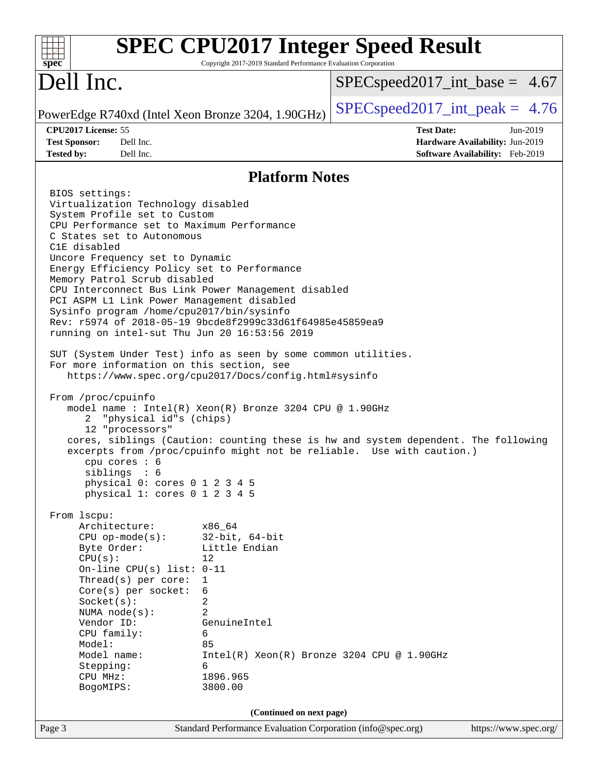| $spec^*$                                                                                                                                                                                                                                                                                                                                                                                                                                                                                                                                                                                                                                                                                                                                                                                                                                                                                                                                                                                                                                                                                                                                                                                                                                | Copyright 2017-2019 Standard Performance Evaluation Corporation                                                                                                 | <b>SPEC CPU2017 Integer Speed Result</b>                                                                                                                    |                                                                                |
|-----------------------------------------------------------------------------------------------------------------------------------------------------------------------------------------------------------------------------------------------------------------------------------------------------------------------------------------------------------------------------------------------------------------------------------------------------------------------------------------------------------------------------------------------------------------------------------------------------------------------------------------------------------------------------------------------------------------------------------------------------------------------------------------------------------------------------------------------------------------------------------------------------------------------------------------------------------------------------------------------------------------------------------------------------------------------------------------------------------------------------------------------------------------------------------------------------------------------------------------|-----------------------------------------------------------------------------------------------------------------------------------------------------------------|-------------------------------------------------------------------------------------------------------------------------------------------------------------|--------------------------------------------------------------------------------|
| Dell Inc.                                                                                                                                                                                                                                                                                                                                                                                                                                                                                                                                                                                                                                                                                                                                                                                                                                                                                                                                                                                                                                                                                                                                                                                                                               |                                                                                                                                                                 | $SPEC speed2017\_int\_base = 4.67$                                                                                                                          |                                                                                |
| PowerEdge R740xd (Intel Xeon Bronze 3204, 1.90GHz)                                                                                                                                                                                                                                                                                                                                                                                                                                                                                                                                                                                                                                                                                                                                                                                                                                                                                                                                                                                                                                                                                                                                                                                      |                                                                                                                                                                 | $SPEC speed2017\_int\_peak = 4.76$                                                                                                                          |                                                                                |
| CPU2017 License: 55<br>Dell Inc.<br><b>Test Sponsor:</b><br><b>Tested by:</b><br>Dell Inc.                                                                                                                                                                                                                                                                                                                                                                                                                                                                                                                                                                                                                                                                                                                                                                                                                                                                                                                                                                                                                                                                                                                                              |                                                                                                                                                                 | <b>Test Date:</b>                                                                                                                                           | Jun-2019<br>Hardware Availability: Jun-2019<br>Software Availability: Feb-2019 |
|                                                                                                                                                                                                                                                                                                                                                                                                                                                                                                                                                                                                                                                                                                                                                                                                                                                                                                                                                                                                                                                                                                                                                                                                                                         | <b>Platform Notes</b>                                                                                                                                           |                                                                                                                                                             |                                                                                |
| BIOS settings:<br>Virtualization Technology disabled<br>System Profile set to Custom<br>CPU Performance set to Maximum Performance<br>C States set to Autonomous<br>C1E disabled<br>Uncore Frequency set to Dynamic<br>Energy Efficiency Policy set to Performance<br>Memory Patrol Scrub disabled<br>CPU Interconnect Bus Link Power Management disabled<br>PCI ASPM L1 Link Power Management disabled<br>Sysinfo program /home/cpu2017/bin/sysinfo<br>Rev: r5974 of 2018-05-19 9bcde8f2999c33d61f64985e45859ea9<br>running on intel-sut Thu Jun 20 16:53:56 2019<br>SUT (System Under Test) info as seen by some common utilities.<br>For more information on this section, see<br>https://www.spec.org/cpu2017/Docs/config.html#sysinfo<br>From /proc/cpuinfo<br>model name : $Intel(R)$ Xeon(R) Bronze 3204 CPU @ 1.90GHz<br>2 "physical id"s (chips)<br>12 "processors"<br>cpu cores $: 6$<br>sibling: 6<br>physical 0: cores 0 1 2 3 4 5<br>physical 1: cores 0 1 2 3 4 5<br>From 1scpu:<br>Architecture:<br>$CPU$ op-mode( $s$ ):<br>Byte Order:<br>CPU(s):<br>On-line CPU(s) list: $0-11$<br>Thread(s) per core:<br>Core(s) per socket:<br>Socket(s):<br>NUMA $node(s)$ :<br>Vendor ID:<br>CPU family:<br>Model:<br>Model name: | x86_64<br>$32$ -bit, $64$ -bit<br>Little Endian<br>12<br>1<br>6<br>2<br>$\overline{a}$<br>GenuineIntel<br>6<br>85<br>Intel(R) Xeon(R) Bronze 3204 CPU @ 1.90GHz | cores, siblings (Caution: counting these is hw and system dependent. The following<br>excerpts from /proc/cpuinfo might not be reliable. Use with caution.) |                                                                                |
| Stepping:<br>CPU MHz:                                                                                                                                                                                                                                                                                                                                                                                                                                                                                                                                                                                                                                                                                                                                                                                                                                                                                                                                                                                                                                                                                                                                                                                                                   | 6<br>1896.965                                                                                                                                                   |                                                                                                                                                             |                                                                                |
| BogoMIPS:                                                                                                                                                                                                                                                                                                                                                                                                                                                                                                                                                                                                                                                                                                                                                                                                                                                                                                                                                                                                                                                                                                                                                                                                                               | 3800.00                                                                                                                                                         |                                                                                                                                                             |                                                                                |
| Page 3                                                                                                                                                                                                                                                                                                                                                                                                                                                                                                                                                                                                                                                                                                                                                                                                                                                                                                                                                                                                                                                                                                                                                                                                                                  | (Continued on next page)<br>Standard Performance Evaluation Corporation (info@spec.org)                                                                         |                                                                                                                                                             | https://www.spec.org/                                                          |
|                                                                                                                                                                                                                                                                                                                                                                                                                                                                                                                                                                                                                                                                                                                                                                                                                                                                                                                                                                                                                                                                                                                                                                                                                                         |                                                                                                                                                                 |                                                                                                                                                             |                                                                                |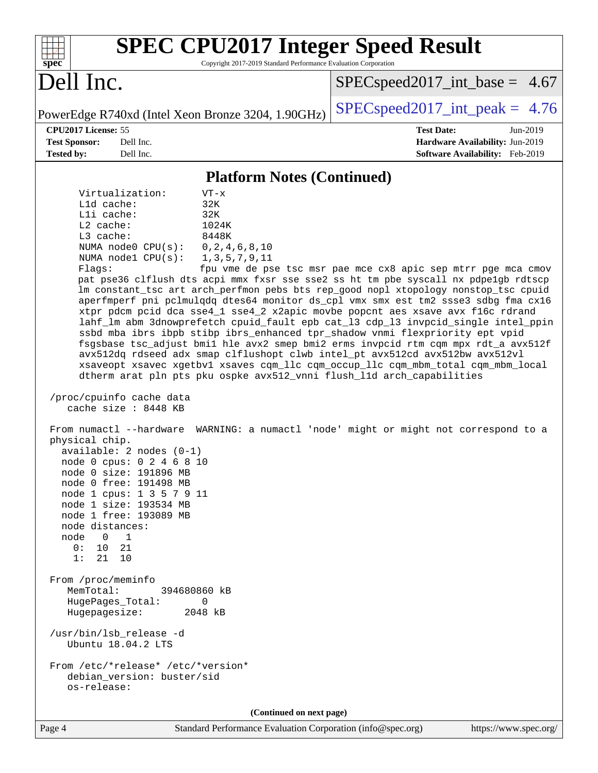| <b>SPEC CPU2017 Integer Speed Result</b><br>Copyright 2017-2019 Standard Performance Evaluation Corporation<br>spec <sup>®</sup>                                                                                                                                                                                                                                                                                                                                                                                                                                                                                                                                                                                                                                                                                                                                                                                                                                                                                                                                                                                                                                                                                                                                                                                                                                                                                                                                                                                                                                                                                                                                                                                                                                                                                         |                                                                                                     |
|--------------------------------------------------------------------------------------------------------------------------------------------------------------------------------------------------------------------------------------------------------------------------------------------------------------------------------------------------------------------------------------------------------------------------------------------------------------------------------------------------------------------------------------------------------------------------------------------------------------------------------------------------------------------------------------------------------------------------------------------------------------------------------------------------------------------------------------------------------------------------------------------------------------------------------------------------------------------------------------------------------------------------------------------------------------------------------------------------------------------------------------------------------------------------------------------------------------------------------------------------------------------------------------------------------------------------------------------------------------------------------------------------------------------------------------------------------------------------------------------------------------------------------------------------------------------------------------------------------------------------------------------------------------------------------------------------------------------------------------------------------------------------------------------------------------------------|-----------------------------------------------------------------------------------------------------|
| Dell Inc.                                                                                                                                                                                                                                                                                                                                                                                                                                                                                                                                                                                                                                                                                                                                                                                                                                                                                                                                                                                                                                                                                                                                                                                                                                                                                                                                                                                                                                                                                                                                                                                                                                                                                                                                                                                                                | $SPEC speed2017\_int\_base = 4.67$                                                                  |
| PowerEdge R740xd (Intel Xeon Bronze 3204, 1.90GHz)                                                                                                                                                                                                                                                                                                                                                                                                                                                                                                                                                                                                                                                                                                                                                                                                                                                                                                                                                                                                                                                                                                                                                                                                                                                                                                                                                                                                                                                                                                                                                                                                                                                                                                                                                                       | $SPEC speed2017\_int\_peak = 4.76$                                                                  |
| CPU2017 License: 55<br><b>Test Sponsor:</b><br>Dell Inc.<br>Dell Inc.<br><b>Tested by:</b>                                                                                                                                                                                                                                                                                                                                                                                                                                                                                                                                                                                                                                                                                                                                                                                                                                                                                                                                                                                                                                                                                                                                                                                                                                                                                                                                                                                                                                                                                                                                                                                                                                                                                                                               | <b>Test Date:</b><br>Jun-2019<br>Hardware Availability: Jun-2019<br>Software Availability: Feb-2019 |
| <b>Platform Notes (Continued)</b>                                                                                                                                                                                                                                                                                                                                                                                                                                                                                                                                                                                                                                                                                                                                                                                                                                                                                                                                                                                                                                                                                                                                                                                                                                                                                                                                                                                                                                                                                                                                                                                                                                                                                                                                                                                        |                                                                                                     |
| Virtualization:<br>$VT - x$<br>L1d cache:<br>32K<br>Lli cache:<br>32K<br>L2 cache:<br>1024K<br>L3 cache:<br>8448K<br>NUMA node0 CPU(s):<br>0, 2, 4, 6, 8, 10<br>NUMA nodel CPU(s):<br>1, 3, 5, 7, 9, 11<br>Flags:<br>pat pse36 clflush dts acpi mmx fxsr sse sse2 ss ht tm pbe syscall nx pdpelgb rdtscp<br>lm constant_tsc art arch_perfmon pebs bts rep_good nopl xtopology nonstop_tsc cpuid<br>aperfmperf pni pclmulqdq dtes64 monitor ds_cpl vmx smx est tm2 ssse3 sdbg fma cx16<br>xtpr pdcm pcid dca sse4_1 sse4_2 x2apic movbe popcnt aes xsave avx f16c rdrand<br>lahf_lm abm 3dnowprefetch cpuid_fault epb cat_13 cdp_13 invpcid_single intel_ppin<br>ssbd mba ibrs ibpb stibp ibrs_enhanced tpr_shadow vnmi flexpriority ept vpid<br>fsgsbase tsc_adjust bmil hle avx2 smep bmi2 erms invpcid rtm cqm mpx rdt_a avx512f<br>avx512dq rdseed adx smap clflushopt clwb intel_pt avx512cd avx512bw avx512vl<br>xsaveopt xsavec xgetbvl xsaves cqm_llc cqm_occup_llc cqm_mbm_total cqm_mbm_local<br>dtherm arat pln pts pku ospke avx512_vnni flush_lld arch_capabilities<br>/proc/cpuinfo cache data<br>cache size : 8448 KB<br>From numactl --hardware WARNING: a numactl 'node' might or might not correspond to a<br>physical chip.<br>$available: 2 nodes (0-1)$<br>node 0 cpus: 0 2 4 6 8 10<br>node 0 size: 191896 MB<br>node 0 free: 191498 MB<br>node 1 cpus: 1 3 5 7 9 11<br>node 1 size: 193534 MB<br>node 1 free: 193089 MB<br>node distances:<br>node<br>$\overline{0}$<br>$\overline{1}$<br>10<br>0:<br>21<br>21<br>10<br>1:<br>From /proc/meminfo<br>MemTotal:<br>394680860 kB<br>HugePages_Total:<br>0<br>2048 kB<br>Hugepagesize:<br>/usr/bin/lsb_release -d<br>Ubuntu 18.04.2 LTS<br>From /etc/*release* /etc/*version*<br>debian_version: buster/sid<br>os-release:<br>(Continued on next page) | fpu vme de pse tsc msr pae mce cx8 apic sep mtrr pge mca cmov                                       |
|                                                                                                                                                                                                                                                                                                                                                                                                                                                                                                                                                                                                                                                                                                                                                                                                                                                                                                                                                                                                                                                                                                                                                                                                                                                                                                                                                                                                                                                                                                                                                                                                                                                                                                                                                                                                                          |                                                                                                     |

Page 4 Standard Performance Evaluation Corporation [\(info@spec.org\)](mailto:info@spec.org) <https://www.spec.org/>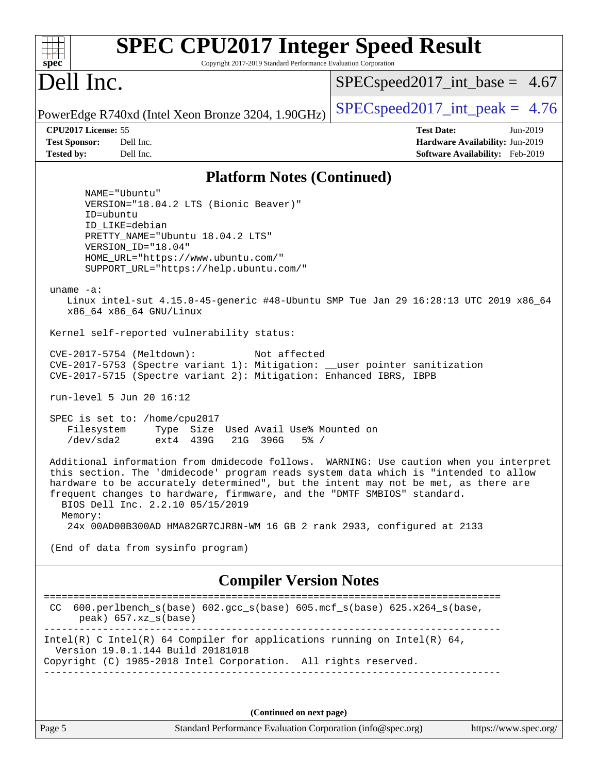| <b>SPEC CPU2017 Integer Speed Result</b><br>Copyright 2017-2019 Standard Performance Evaluation Corporation<br>$spec^*$                                                                                                                                                                                                                                                                                                                                                                                                                                                                                                                                                                                                                                                                                                                                                                                                                                                                                                                                                                                                                                                                                                                                                                                                                                                                                                                             |                                                                                                     |
|-----------------------------------------------------------------------------------------------------------------------------------------------------------------------------------------------------------------------------------------------------------------------------------------------------------------------------------------------------------------------------------------------------------------------------------------------------------------------------------------------------------------------------------------------------------------------------------------------------------------------------------------------------------------------------------------------------------------------------------------------------------------------------------------------------------------------------------------------------------------------------------------------------------------------------------------------------------------------------------------------------------------------------------------------------------------------------------------------------------------------------------------------------------------------------------------------------------------------------------------------------------------------------------------------------------------------------------------------------------------------------------------------------------------------------------------------------|-----------------------------------------------------------------------------------------------------|
| Dell Inc.                                                                                                                                                                                                                                                                                                                                                                                                                                                                                                                                                                                                                                                                                                                                                                                                                                                                                                                                                                                                                                                                                                                                                                                                                                                                                                                                                                                                                                           | $SPEC speed2017\_int\_base = 4.67$                                                                  |
| PowerEdge R740xd (Intel Xeon Bronze 3204, 1.90GHz)                                                                                                                                                                                                                                                                                                                                                                                                                                                                                                                                                                                                                                                                                                                                                                                                                                                                                                                                                                                                                                                                                                                                                                                                                                                                                                                                                                                                  | $SPEC speed2017\_int\_peak = 4.76$                                                                  |
| CPU2017 License: 55<br><b>Test Sponsor:</b><br>Dell Inc.<br><b>Tested by:</b><br>Dell Inc.                                                                                                                                                                                                                                                                                                                                                                                                                                                                                                                                                                                                                                                                                                                                                                                                                                                                                                                                                                                                                                                                                                                                                                                                                                                                                                                                                          | <b>Test Date:</b><br>Jun-2019<br>Hardware Availability: Jun-2019<br>Software Availability: Feb-2019 |
| <b>Platform Notes (Continued)</b>                                                                                                                                                                                                                                                                                                                                                                                                                                                                                                                                                                                                                                                                                                                                                                                                                                                                                                                                                                                                                                                                                                                                                                                                                                                                                                                                                                                                                   |                                                                                                     |
| NAME="Ubuntu"<br>VERSION="18.04.2 LTS (Bionic Beaver)"<br>ID=ubuntu<br>ID LIKE=debian<br>PRETTY_NAME="Ubuntu 18.04.2 LTS"<br>VERSION_ID="18.04"<br>HOME_URL="https://www.ubuntu.com/"<br>SUPPORT_URL="https://help.ubuntu.com/"<br>uname $-a$ :<br>Linux intel-sut 4.15.0-45-generic #48-Ubuntu SMP Tue Jan 29 16:28:13 UTC 2019 x86_64<br>x86 64 x86 64 GNU/Linux<br>Kernel self-reported vulnerability status:<br>CVE-2017-5754 (Meltdown):<br>Not affected<br>CVE-2017-5753 (Spectre variant 1): Mitigation: __user pointer sanitization<br>CVE-2017-5715 (Spectre variant 2): Mitigation: Enhanced IBRS, IBPB<br>run-level 5 Jun 20 16:12<br>SPEC is set to: /home/cpu2017<br>Filesystem<br>Type Size Used Avail Use% Mounted on<br>/dev/sda2<br>ext4 439G<br>21G 396G<br>$5\%$ /<br>Additional information from dmidecode follows. WARNING: Use caution when you interpret<br>this section. The 'dmidecode' program reads system data which is "intended to allow<br>hardware to be accurately determined", but the intent may not be met, as there are<br>frequent changes to hardware, firmware, and the "DMTF SMBIOS" standard.<br>BIOS Dell Inc. 2.2.10 05/15/2019<br>Memory:<br>24x 00AD00B300AD HMA82GR7CJR8N-WM 16 GB 2 rank 2933, configured at 2133<br>(End of data from sysinfo program)<br><b>Compiler Version Notes</b><br>600.perlbench_s(base) 602.gcc_s(base) 605.mcf_s(base) 625.x264_s(base,<br>CC.<br>$peak)$ 657.xz_s(base) |                                                                                                     |
| Intel(R) C Intel(R) 64 Compiler for applications running on Intel(R) 64,<br>Version 19.0.1.144 Build 20181018<br>Copyright (C) 1985-2018 Intel Corporation. All rights reserved.                                                                                                                                                                                                                                                                                                                                                                                                                                                                                                                                                                                                                                                                                                                                                                                                                                                                                                                                                                                                                                                                                                                                                                                                                                                                    |                                                                                                     |
| (Continued on next page)                                                                                                                                                                                                                                                                                                                                                                                                                                                                                                                                                                                                                                                                                                                                                                                                                                                                                                                                                                                                                                                                                                                                                                                                                                                                                                                                                                                                                            |                                                                                                     |
| Page 5<br>Standard Performance Evaluation Corporation (info@spec.org)                                                                                                                                                                                                                                                                                                                                                                                                                                                                                                                                                                                                                                                                                                                                                                                                                                                                                                                                                                                                                                                                                                                                                                                                                                                                                                                                                                               | https://www.spec.org/                                                                               |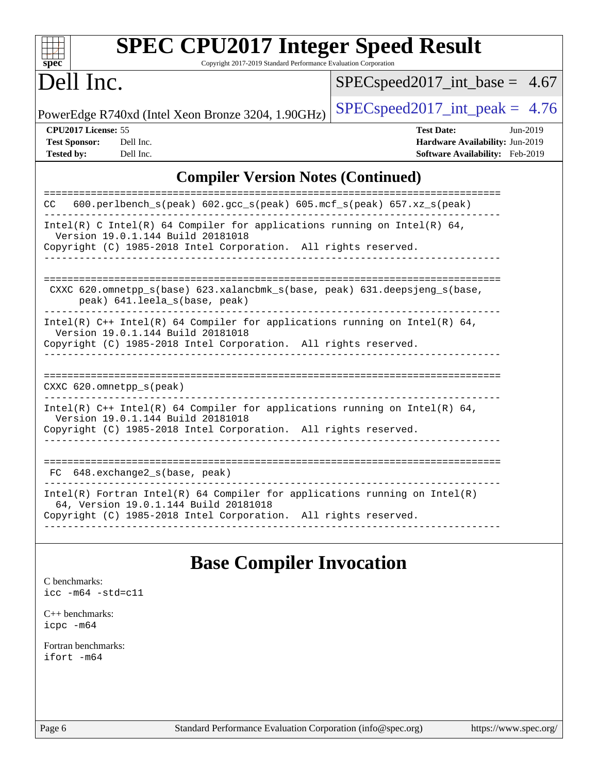| S | ne | Ľ |  |
|---|----|---|--|

# **[SPEC CPU2017 Integer Speed Result](http://www.spec.org/auto/cpu2017/Docs/result-fields.html#SPECCPU2017IntegerSpeedResult)**

Copyright 2017-2019 Standard Performance Evaluation Corporation

### Dell Inc.

[SPECspeed2017\\_int\\_base =](http://www.spec.org/auto/cpu2017/Docs/result-fields.html#SPECspeed2017intbase) 4.67

PowerEdge R740xd (Intel Xeon Bronze 3204, 1.90GHz)  $\left|$  [SPECspeed2017\\_int\\_peak =](http://www.spec.org/auto/cpu2017/Docs/result-fields.html#SPECspeed2017intpeak) 4.76

**[CPU2017 License:](http://www.spec.org/auto/cpu2017/Docs/result-fields.html#CPU2017License)** 55 **[Test Date:](http://www.spec.org/auto/cpu2017/Docs/result-fields.html#TestDate)** Jun-2019 **[Test Sponsor:](http://www.spec.org/auto/cpu2017/Docs/result-fields.html#TestSponsor)** Dell Inc. **[Hardware Availability:](http://www.spec.org/auto/cpu2017/Docs/result-fields.html#HardwareAvailability)** Jun-2019 **[Tested by:](http://www.spec.org/auto/cpu2017/Docs/result-fields.html#Testedby)** Dell Inc. **[Software Availability:](http://www.spec.org/auto/cpu2017/Docs/result-fields.html#SoftwareAvailability)** Feb-2019

### **[Compiler Version Notes \(Continued\)](http://www.spec.org/auto/cpu2017/Docs/result-fields.html#CompilerVersionNotes)**

| $600. perlbench_s (peak) 602. gcc_s (peak) 605. mcf_s (peak) 657. xz_s (peak)$<br>CC.<br>Intel(R) C Intel(R) 64 Compiler for applications running on Intel(R) 64,<br>Version 19.0.1.144 Build 20181018<br>Copyright (C) 1985-2018 Intel Corporation. All rights reserved.<br>CXXC 620.omnetpp $s(base)$ 623.xalancbmk $s(base, peak)$ 631.deepsjeng $s(base,$<br>peak) 641. leela s(base, peak)<br>Intel(R) $C++$ Intel(R) 64 Compiler for applications running on Intel(R) 64,<br>Version 19.0.1.144 Build 20181018<br>Copyright (C) 1985-2018 Intel Corporation. All rights reserved.<br>$CXXC$ 620.omnetpp $s$ (peak)<br>Intel(R) $C++$ Intel(R) 64 Compiler for applications running on Intel(R) 64,<br>Version 19.0.1.144 Build 20181018<br>Copyright (C) 1985-2018 Intel Corporation. All rights reserved.<br>$648$ . exchange2 $s$ (base, peak)<br>FC.<br>Intel(R) Fortran Intel(R) 64 Compiler for applications running on Intel(R)<br>64, Version 19.0.1.144 Build 20181018<br>Copyright (C) 1985-2018 Intel Corporation. All rights reserved. |  |
|---------------------------------------------------------------------------------------------------------------------------------------------------------------------------------------------------------------------------------------------------------------------------------------------------------------------------------------------------------------------------------------------------------------------------------------------------------------------------------------------------------------------------------------------------------------------------------------------------------------------------------------------------------------------------------------------------------------------------------------------------------------------------------------------------------------------------------------------------------------------------------------------------------------------------------------------------------------------------------------------------------------------------------------------------------|--|
|                                                                                                                                                                                                                                                                                                                                                                                                                                                                                                                                                                                                                                                                                                                                                                                                                                                                                                                                                                                                                                                         |  |
|                                                                                                                                                                                                                                                                                                                                                                                                                                                                                                                                                                                                                                                                                                                                                                                                                                                                                                                                                                                                                                                         |  |
|                                                                                                                                                                                                                                                                                                                                                                                                                                                                                                                                                                                                                                                                                                                                                                                                                                                                                                                                                                                                                                                         |  |
|                                                                                                                                                                                                                                                                                                                                                                                                                                                                                                                                                                                                                                                                                                                                                                                                                                                                                                                                                                                                                                                         |  |
|                                                                                                                                                                                                                                                                                                                                                                                                                                                                                                                                                                                                                                                                                                                                                                                                                                                                                                                                                                                                                                                         |  |
|                                                                                                                                                                                                                                                                                                                                                                                                                                                                                                                                                                                                                                                                                                                                                                                                                                                                                                                                                                                                                                                         |  |
|                                                                                                                                                                                                                                                                                                                                                                                                                                                                                                                                                                                                                                                                                                                                                                                                                                                                                                                                                                                                                                                         |  |
|                                                                                                                                                                                                                                                                                                                                                                                                                                                                                                                                                                                                                                                                                                                                                                                                                                                                                                                                                                                                                                                         |  |
|                                                                                                                                                                                                                                                                                                                                                                                                                                                                                                                                                                                                                                                                                                                                                                                                                                                                                                                                                                                                                                                         |  |
|                                                                                                                                                                                                                                                                                                                                                                                                                                                                                                                                                                                                                                                                                                                                                                                                                                                                                                                                                                                                                                                         |  |
|                                                                                                                                                                                                                                                                                                                                                                                                                                                                                                                                                                                                                                                                                                                                                                                                                                                                                                                                                                                                                                                         |  |
|                                                                                                                                                                                                                                                                                                                                                                                                                                                                                                                                                                                                                                                                                                                                                                                                                                                                                                                                                                                                                                                         |  |
|                                                                                                                                                                                                                                                                                                                                                                                                                                                                                                                                                                                                                                                                                                                                                                                                                                                                                                                                                                                                                                                         |  |
|                                                                                                                                                                                                                                                                                                                                                                                                                                                                                                                                                                                                                                                                                                                                                                                                                                                                                                                                                                                                                                                         |  |

### **[Base Compiler Invocation](http://www.spec.org/auto/cpu2017/Docs/result-fields.html#BaseCompilerInvocation)**

[C benchmarks](http://www.spec.org/auto/cpu2017/Docs/result-fields.html#Cbenchmarks): [icc -m64 -std=c11](http://www.spec.org/cpu2017/results/res2019q3/cpu2017-20190624-15455.flags.html#user_CCbase_intel_icc_64bit_c11_33ee0cdaae7deeeab2a9725423ba97205ce30f63b9926c2519791662299b76a0318f32ddfffdc46587804de3178b4f9328c46fa7c2b0cd779d7a61945c91cd35)

[C++ benchmarks:](http://www.spec.org/auto/cpu2017/Docs/result-fields.html#CXXbenchmarks) [icpc -m64](http://www.spec.org/cpu2017/results/res2019q3/cpu2017-20190624-15455.flags.html#user_CXXbase_intel_icpc_64bit_4ecb2543ae3f1412ef961e0650ca070fec7b7afdcd6ed48761b84423119d1bf6bdf5cad15b44d48e7256388bc77273b966e5eb805aefd121eb22e9299b2ec9d9)

[Fortran benchmarks](http://www.spec.org/auto/cpu2017/Docs/result-fields.html#Fortranbenchmarks): [ifort -m64](http://www.spec.org/cpu2017/results/res2019q3/cpu2017-20190624-15455.flags.html#user_FCbase_intel_ifort_64bit_24f2bb282fbaeffd6157abe4f878425411749daecae9a33200eee2bee2fe76f3b89351d69a8130dd5949958ce389cf37ff59a95e7a40d588e8d3a57e0c3fd751)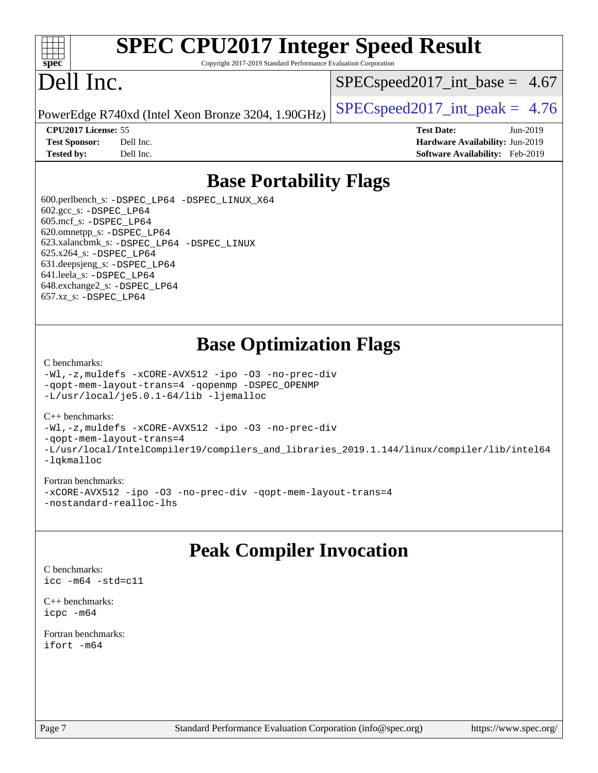

## **[SPEC CPU2017 Integer Speed Result](http://www.spec.org/auto/cpu2017/Docs/result-fields.html#SPECCPU2017IntegerSpeedResult)**

Copyright 2017-2019 Standard Performance Evaluation Corporation

## Dell Inc.

 $SPECspeed2017\_int\_base = 4.67$ 

PowerEdge R740xd (Intel Xeon Bronze 3204, 1.90GHz)  $\left|$  [SPECspeed2017\\_int\\_peak =](http://www.spec.org/auto/cpu2017/Docs/result-fields.html#SPECspeed2017intpeak) 4.76

**[CPU2017 License:](http://www.spec.org/auto/cpu2017/Docs/result-fields.html#CPU2017License)** 55 **[Test Date:](http://www.spec.org/auto/cpu2017/Docs/result-fields.html#TestDate)** Jun-2019 **[Test Sponsor:](http://www.spec.org/auto/cpu2017/Docs/result-fields.html#TestSponsor)** Dell Inc. **[Hardware Availability:](http://www.spec.org/auto/cpu2017/Docs/result-fields.html#HardwareAvailability)** Jun-2019 **[Tested by:](http://www.spec.org/auto/cpu2017/Docs/result-fields.html#Testedby)** Dell Inc. **[Software Availability:](http://www.spec.org/auto/cpu2017/Docs/result-fields.html#SoftwareAvailability)** Feb-2019

### **[Base Portability Flags](http://www.spec.org/auto/cpu2017/Docs/result-fields.html#BasePortabilityFlags)**

 600.perlbench\_s: [-DSPEC\\_LP64](http://www.spec.org/cpu2017/results/res2019q3/cpu2017-20190624-15455.flags.html#b600.perlbench_s_basePORTABILITY_DSPEC_LP64) [-DSPEC\\_LINUX\\_X64](http://www.spec.org/cpu2017/results/res2019q3/cpu2017-20190624-15455.flags.html#b600.perlbench_s_baseCPORTABILITY_DSPEC_LINUX_X64) 602.gcc\_s: [-DSPEC\\_LP64](http://www.spec.org/cpu2017/results/res2019q3/cpu2017-20190624-15455.flags.html#suite_basePORTABILITY602_gcc_s_DSPEC_LP64) 605.mcf\_s: [-DSPEC\\_LP64](http://www.spec.org/cpu2017/results/res2019q3/cpu2017-20190624-15455.flags.html#suite_basePORTABILITY605_mcf_s_DSPEC_LP64) 620.omnetpp\_s: [-DSPEC\\_LP64](http://www.spec.org/cpu2017/results/res2019q3/cpu2017-20190624-15455.flags.html#suite_basePORTABILITY620_omnetpp_s_DSPEC_LP64) 623.xalancbmk\_s: [-DSPEC\\_LP64](http://www.spec.org/cpu2017/results/res2019q3/cpu2017-20190624-15455.flags.html#suite_basePORTABILITY623_xalancbmk_s_DSPEC_LP64) [-DSPEC\\_LINUX](http://www.spec.org/cpu2017/results/res2019q3/cpu2017-20190624-15455.flags.html#b623.xalancbmk_s_baseCXXPORTABILITY_DSPEC_LINUX) 625.x264\_s: [-DSPEC\\_LP64](http://www.spec.org/cpu2017/results/res2019q3/cpu2017-20190624-15455.flags.html#suite_basePORTABILITY625_x264_s_DSPEC_LP64) 631.deepsjeng\_s: [-DSPEC\\_LP64](http://www.spec.org/cpu2017/results/res2019q3/cpu2017-20190624-15455.flags.html#suite_basePORTABILITY631_deepsjeng_s_DSPEC_LP64) 641.leela\_s: [-DSPEC\\_LP64](http://www.spec.org/cpu2017/results/res2019q3/cpu2017-20190624-15455.flags.html#suite_basePORTABILITY641_leela_s_DSPEC_LP64) 648.exchange2\_s: [-DSPEC\\_LP64](http://www.spec.org/cpu2017/results/res2019q3/cpu2017-20190624-15455.flags.html#suite_basePORTABILITY648_exchange2_s_DSPEC_LP64) 657.xz\_s: [-DSPEC\\_LP64](http://www.spec.org/cpu2017/results/res2019q3/cpu2017-20190624-15455.flags.html#suite_basePORTABILITY657_xz_s_DSPEC_LP64)

### **[Base Optimization Flags](http://www.spec.org/auto/cpu2017/Docs/result-fields.html#BaseOptimizationFlags)**

#### [C benchmarks](http://www.spec.org/auto/cpu2017/Docs/result-fields.html#Cbenchmarks):

[-Wl,-z,muldefs](http://www.spec.org/cpu2017/results/res2019q3/cpu2017-20190624-15455.flags.html#user_CCbase_link_force_multiple1_b4cbdb97b34bdee9ceefcfe54f4c8ea74255f0b02a4b23e853cdb0e18eb4525ac79b5a88067c842dd0ee6996c24547a27a4b99331201badda8798ef8a743f577) [-xCORE-AVX512](http://www.spec.org/cpu2017/results/res2019q3/cpu2017-20190624-15455.flags.html#user_CCbase_f-xCORE-AVX512) [-ipo](http://www.spec.org/cpu2017/results/res2019q3/cpu2017-20190624-15455.flags.html#user_CCbase_f-ipo) [-O3](http://www.spec.org/cpu2017/results/res2019q3/cpu2017-20190624-15455.flags.html#user_CCbase_f-O3) [-no-prec-div](http://www.spec.org/cpu2017/results/res2019q3/cpu2017-20190624-15455.flags.html#user_CCbase_f-no-prec-div) [-qopt-mem-layout-trans=4](http://www.spec.org/cpu2017/results/res2019q3/cpu2017-20190624-15455.flags.html#user_CCbase_f-qopt-mem-layout-trans_fa39e755916c150a61361b7846f310bcdf6f04e385ef281cadf3647acec3f0ae266d1a1d22d972a7087a248fd4e6ca390a3634700869573d231a252c784941a8) [-qopenmp](http://www.spec.org/cpu2017/results/res2019q3/cpu2017-20190624-15455.flags.html#user_CCbase_qopenmp_16be0c44f24f464004c6784a7acb94aca937f053568ce72f94b139a11c7c168634a55f6653758ddd83bcf7b8463e8028bb0b48b77bcddc6b78d5d95bb1df2967) [-DSPEC\\_OPENMP](http://www.spec.org/cpu2017/results/res2019q3/cpu2017-20190624-15455.flags.html#suite_CCbase_DSPEC_OPENMP) [-L/usr/local/je5.0.1-64/lib](http://www.spec.org/cpu2017/results/res2019q3/cpu2017-20190624-15455.flags.html#user_CCbase_jemalloc_link_path64_4b10a636b7bce113509b17f3bd0d6226c5fb2346b9178c2d0232c14f04ab830f976640479e5c33dc2bcbbdad86ecfb6634cbbd4418746f06f368b512fced5394) [-ljemalloc](http://www.spec.org/cpu2017/results/res2019q3/cpu2017-20190624-15455.flags.html#user_CCbase_jemalloc_link_lib_d1249b907c500fa1c0672f44f562e3d0f79738ae9e3c4a9c376d49f265a04b9c99b167ecedbf6711b3085be911c67ff61f150a17b3472be731631ba4d0471706)

#### [C++ benchmarks:](http://www.spec.org/auto/cpu2017/Docs/result-fields.html#CXXbenchmarks)

[-Wl,-z,muldefs](http://www.spec.org/cpu2017/results/res2019q3/cpu2017-20190624-15455.flags.html#user_CXXbase_link_force_multiple1_b4cbdb97b34bdee9ceefcfe54f4c8ea74255f0b02a4b23e853cdb0e18eb4525ac79b5a88067c842dd0ee6996c24547a27a4b99331201badda8798ef8a743f577) [-xCORE-AVX512](http://www.spec.org/cpu2017/results/res2019q3/cpu2017-20190624-15455.flags.html#user_CXXbase_f-xCORE-AVX512) [-ipo](http://www.spec.org/cpu2017/results/res2019q3/cpu2017-20190624-15455.flags.html#user_CXXbase_f-ipo) [-O3](http://www.spec.org/cpu2017/results/res2019q3/cpu2017-20190624-15455.flags.html#user_CXXbase_f-O3) [-no-prec-div](http://www.spec.org/cpu2017/results/res2019q3/cpu2017-20190624-15455.flags.html#user_CXXbase_f-no-prec-div) [-qopt-mem-layout-trans=4](http://www.spec.org/cpu2017/results/res2019q3/cpu2017-20190624-15455.flags.html#user_CXXbase_f-qopt-mem-layout-trans_fa39e755916c150a61361b7846f310bcdf6f04e385ef281cadf3647acec3f0ae266d1a1d22d972a7087a248fd4e6ca390a3634700869573d231a252c784941a8) [-L/usr/local/IntelCompiler19/compilers\\_and\\_libraries\\_2019.1.144/linux/compiler/lib/intel64](http://www.spec.org/cpu2017/results/res2019q3/cpu2017-20190624-15455.flags.html#user_CXXbase_qkmalloc_link_f25da0aa8cf9bced0533715046f0c2fbfb1a7191e3e496916672e09b4c388a884c4c7e4862cb529343da2264b43416df65c99fd1ddbf5dd13ae6d3130cf47881) [-lqkmalloc](http://www.spec.org/cpu2017/results/res2019q3/cpu2017-20190624-15455.flags.html#user_CXXbase_qkmalloc_link_lib_79a818439969f771c6bc311cfd333c00fc099dad35c030f5aab9dda831713d2015205805422f83de8875488a2991c0a156aaa600e1f9138f8fc37004abc96dc5)

#### [Fortran benchmarks:](http://www.spec.org/auto/cpu2017/Docs/result-fields.html#Fortranbenchmarks)

[-xCORE-AVX512](http://www.spec.org/cpu2017/results/res2019q3/cpu2017-20190624-15455.flags.html#user_FCbase_f-xCORE-AVX512) [-ipo](http://www.spec.org/cpu2017/results/res2019q3/cpu2017-20190624-15455.flags.html#user_FCbase_f-ipo) [-O3](http://www.spec.org/cpu2017/results/res2019q3/cpu2017-20190624-15455.flags.html#user_FCbase_f-O3) [-no-prec-div](http://www.spec.org/cpu2017/results/res2019q3/cpu2017-20190624-15455.flags.html#user_FCbase_f-no-prec-div) [-qopt-mem-layout-trans=4](http://www.spec.org/cpu2017/results/res2019q3/cpu2017-20190624-15455.flags.html#user_FCbase_f-qopt-mem-layout-trans_fa39e755916c150a61361b7846f310bcdf6f04e385ef281cadf3647acec3f0ae266d1a1d22d972a7087a248fd4e6ca390a3634700869573d231a252c784941a8) [-nostandard-realloc-lhs](http://www.spec.org/cpu2017/results/res2019q3/cpu2017-20190624-15455.flags.html#user_FCbase_f_2003_std_realloc_82b4557e90729c0f113870c07e44d33d6f5a304b4f63d4c15d2d0f1fab99f5daaed73bdb9275d9ae411527f28b936061aa8b9c8f2d63842963b95c9dd6426b8a)

### **[Peak Compiler Invocation](http://www.spec.org/auto/cpu2017/Docs/result-fields.html#PeakCompilerInvocation)**

[C benchmarks](http://www.spec.org/auto/cpu2017/Docs/result-fields.html#Cbenchmarks): [icc -m64 -std=c11](http://www.spec.org/cpu2017/results/res2019q3/cpu2017-20190624-15455.flags.html#user_CCpeak_intel_icc_64bit_c11_33ee0cdaae7deeeab2a9725423ba97205ce30f63b9926c2519791662299b76a0318f32ddfffdc46587804de3178b4f9328c46fa7c2b0cd779d7a61945c91cd35)

[C++ benchmarks:](http://www.spec.org/auto/cpu2017/Docs/result-fields.html#CXXbenchmarks) [icpc -m64](http://www.spec.org/cpu2017/results/res2019q3/cpu2017-20190624-15455.flags.html#user_CXXpeak_intel_icpc_64bit_4ecb2543ae3f1412ef961e0650ca070fec7b7afdcd6ed48761b84423119d1bf6bdf5cad15b44d48e7256388bc77273b966e5eb805aefd121eb22e9299b2ec9d9)

[Fortran benchmarks](http://www.spec.org/auto/cpu2017/Docs/result-fields.html#Fortranbenchmarks): [ifort -m64](http://www.spec.org/cpu2017/results/res2019q3/cpu2017-20190624-15455.flags.html#user_FCpeak_intel_ifort_64bit_24f2bb282fbaeffd6157abe4f878425411749daecae9a33200eee2bee2fe76f3b89351d69a8130dd5949958ce389cf37ff59a95e7a40d588e8d3a57e0c3fd751)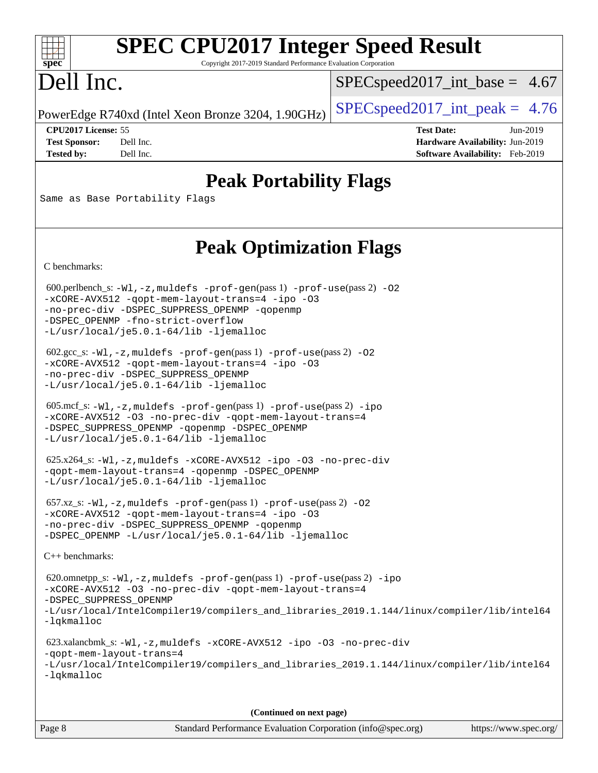### $+\ +$ **[spec](http://www.spec.org/)**

# **[SPEC CPU2017 Integer Speed Result](http://www.spec.org/auto/cpu2017/Docs/result-fields.html#SPECCPU2017IntegerSpeedResult)**

Copyright 2017-2019 Standard Performance Evaluation Corporation

## Dell Inc.

 $SPECspeed2017\_int\_base = 4.67$ 

PowerEdge R740xd (Intel Xeon Bronze 3204, 1.90GHz)  $\left|$  [SPECspeed2017\\_int\\_peak =](http://www.spec.org/auto/cpu2017/Docs/result-fields.html#SPECspeed2017intpeak) 4.76

**[CPU2017 License:](http://www.spec.org/auto/cpu2017/Docs/result-fields.html#CPU2017License)** 55 **[Test Date:](http://www.spec.org/auto/cpu2017/Docs/result-fields.html#TestDate)** Jun-2019 **[Test Sponsor:](http://www.spec.org/auto/cpu2017/Docs/result-fields.html#TestSponsor)** Dell Inc. **[Hardware Availability:](http://www.spec.org/auto/cpu2017/Docs/result-fields.html#HardwareAvailability)** Jun-2019 **[Tested by:](http://www.spec.org/auto/cpu2017/Docs/result-fields.html#Testedby)** Dell Inc. **[Software Availability:](http://www.spec.org/auto/cpu2017/Docs/result-fields.html#SoftwareAvailability)** Feb-2019

### **[Peak Portability Flags](http://www.spec.org/auto/cpu2017/Docs/result-fields.html#PeakPortabilityFlags)**

Same as Base Portability Flags

### **[Peak Optimization Flags](http://www.spec.org/auto/cpu2017/Docs/result-fields.html#PeakOptimizationFlags)**

[C benchmarks](http://www.spec.org/auto/cpu2017/Docs/result-fields.html#Cbenchmarks):

600.perlbench\_s:  $-W1$ , -z, muldefs [-prof-gen](http://www.spec.org/cpu2017/results/res2019q3/cpu2017-20190624-15455.flags.html#user_peakPASS1_CFLAGSPASS1_LDFLAGS600_perlbench_s_prof_gen_5aa4926d6013ddb2a31985c654b3eb18169fc0c6952a63635c234f711e6e63dd76e94ad52365559451ec499a2cdb89e4dc58ba4c67ef54ca681ffbe1461d6b36)(pass 1) [-prof-use](http://www.spec.org/cpu2017/results/res2019q3/cpu2017-20190624-15455.flags.html#user_peakPASS2_CFLAGSPASS2_LDFLAGS600_perlbench_s_prof_use_1a21ceae95f36a2b53c25747139a6c16ca95bd9def2a207b4f0849963b97e94f5260e30a0c64f4bb623698870e679ca08317ef8150905d41bd88c6f78df73f19)(pass 2) -02 [-xCORE-AVX512](http://www.spec.org/cpu2017/results/res2019q3/cpu2017-20190624-15455.flags.html#user_peakPASS2_COPTIMIZE600_perlbench_s_f-xCORE-AVX512) [-qopt-mem-layout-trans=4](http://www.spec.org/cpu2017/results/res2019q3/cpu2017-20190624-15455.flags.html#user_peakPASS1_COPTIMIZEPASS2_COPTIMIZE600_perlbench_s_f-qopt-mem-layout-trans_fa39e755916c150a61361b7846f310bcdf6f04e385ef281cadf3647acec3f0ae266d1a1d22d972a7087a248fd4e6ca390a3634700869573d231a252c784941a8) [-ipo](http://www.spec.org/cpu2017/results/res2019q3/cpu2017-20190624-15455.flags.html#user_peakPASS2_COPTIMIZE600_perlbench_s_f-ipo) [-O3](http://www.spec.org/cpu2017/results/res2019q3/cpu2017-20190624-15455.flags.html#user_peakPASS2_COPTIMIZE600_perlbench_s_f-O3) [-no-prec-div](http://www.spec.org/cpu2017/results/res2019q3/cpu2017-20190624-15455.flags.html#user_peakPASS2_COPTIMIZE600_perlbench_s_f-no-prec-div) [-DSPEC\\_SUPPRESS\\_OPENMP](http://www.spec.org/cpu2017/results/res2019q3/cpu2017-20190624-15455.flags.html#suite_peakPASS1_COPTIMIZE600_perlbench_s_DSPEC_SUPPRESS_OPENMP) [-qopenmp](http://www.spec.org/cpu2017/results/res2019q3/cpu2017-20190624-15455.flags.html#user_peakPASS2_COPTIMIZE600_perlbench_s_qopenmp_16be0c44f24f464004c6784a7acb94aca937f053568ce72f94b139a11c7c168634a55f6653758ddd83bcf7b8463e8028bb0b48b77bcddc6b78d5d95bb1df2967) [-DSPEC\\_OPENMP](http://www.spec.org/cpu2017/results/res2019q3/cpu2017-20190624-15455.flags.html#suite_peakPASS2_COPTIMIZE600_perlbench_s_DSPEC_OPENMP) [-fno-strict-overflow](http://www.spec.org/cpu2017/results/res2019q3/cpu2017-20190624-15455.flags.html#user_peakEXTRA_OPTIMIZE600_perlbench_s_f-fno-strict-overflow) [-L/usr/local/je5.0.1-64/lib](http://www.spec.org/cpu2017/results/res2019q3/cpu2017-20190624-15455.flags.html#user_peakEXTRA_LIBS600_perlbench_s_jemalloc_link_path64_4b10a636b7bce113509b17f3bd0d6226c5fb2346b9178c2d0232c14f04ab830f976640479e5c33dc2bcbbdad86ecfb6634cbbd4418746f06f368b512fced5394) [-ljemalloc](http://www.spec.org/cpu2017/results/res2019q3/cpu2017-20190624-15455.flags.html#user_peakEXTRA_LIBS600_perlbench_s_jemalloc_link_lib_d1249b907c500fa1c0672f44f562e3d0f79738ae9e3c4a9c376d49f265a04b9c99b167ecedbf6711b3085be911c67ff61f150a17b3472be731631ba4d0471706) 602.gcc\_s: [-Wl,-z,muldefs](http://www.spec.org/cpu2017/results/res2019q3/cpu2017-20190624-15455.flags.html#user_peakEXTRA_LDFLAGS602_gcc_s_link_force_multiple1_b4cbdb97b34bdee9ceefcfe54f4c8ea74255f0b02a4b23e853cdb0e18eb4525ac79b5a88067c842dd0ee6996c24547a27a4b99331201badda8798ef8a743f577) [-prof-gen](http://www.spec.org/cpu2017/results/res2019q3/cpu2017-20190624-15455.flags.html#user_peakPASS1_CFLAGSPASS1_LDFLAGS602_gcc_s_prof_gen_5aa4926d6013ddb2a31985c654b3eb18169fc0c6952a63635c234f711e6e63dd76e94ad52365559451ec499a2cdb89e4dc58ba4c67ef54ca681ffbe1461d6b36)(pass 1) [-prof-use](http://www.spec.org/cpu2017/results/res2019q3/cpu2017-20190624-15455.flags.html#user_peakPASS2_CFLAGSPASS2_LDFLAGS602_gcc_s_prof_use_1a21ceae95f36a2b53c25747139a6c16ca95bd9def2a207b4f0849963b97e94f5260e30a0c64f4bb623698870e679ca08317ef8150905d41bd88c6f78df73f19)(pass 2) [-O2](http://www.spec.org/cpu2017/results/res2019q3/cpu2017-20190624-15455.flags.html#user_peakPASS1_COPTIMIZE602_gcc_s_f-O2) [-xCORE-AVX512](http://www.spec.org/cpu2017/results/res2019q3/cpu2017-20190624-15455.flags.html#user_peakPASS2_COPTIMIZE602_gcc_s_f-xCORE-AVX512) [-qopt-mem-layout-trans=4](http://www.spec.org/cpu2017/results/res2019q3/cpu2017-20190624-15455.flags.html#user_peakPASS1_COPTIMIZEPASS2_COPTIMIZE602_gcc_s_f-qopt-mem-layout-trans_fa39e755916c150a61361b7846f310bcdf6f04e385ef281cadf3647acec3f0ae266d1a1d22d972a7087a248fd4e6ca390a3634700869573d231a252c784941a8) [-ipo](http://www.spec.org/cpu2017/results/res2019q3/cpu2017-20190624-15455.flags.html#user_peakPASS2_COPTIMIZE602_gcc_s_f-ipo) [-O3](http://www.spec.org/cpu2017/results/res2019q3/cpu2017-20190624-15455.flags.html#user_peakPASS2_COPTIMIZE602_gcc_s_f-O3) [-no-prec-div](http://www.spec.org/cpu2017/results/res2019q3/cpu2017-20190624-15455.flags.html#user_peakPASS2_COPTIMIZE602_gcc_s_f-no-prec-div) [-DSPEC\\_SUPPRESS\\_OPENMP](http://www.spec.org/cpu2017/results/res2019q3/cpu2017-20190624-15455.flags.html#suite_peakPASS1_COPTIMIZE602_gcc_s_DSPEC_SUPPRESS_OPENMP) [-L/usr/local/je5.0.1-64/lib](http://www.spec.org/cpu2017/results/res2019q3/cpu2017-20190624-15455.flags.html#user_peakEXTRA_LIBS602_gcc_s_jemalloc_link_path64_4b10a636b7bce113509b17f3bd0d6226c5fb2346b9178c2d0232c14f04ab830f976640479e5c33dc2bcbbdad86ecfb6634cbbd4418746f06f368b512fced5394) [-ljemalloc](http://www.spec.org/cpu2017/results/res2019q3/cpu2017-20190624-15455.flags.html#user_peakEXTRA_LIBS602_gcc_s_jemalloc_link_lib_d1249b907c500fa1c0672f44f562e3d0f79738ae9e3c4a9c376d49f265a04b9c99b167ecedbf6711b3085be911c67ff61f150a17b3472be731631ba4d0471706) 605.mcf\_s: [-Wl,-z,muldefs](http://www.spec.org/cpu2017/results/res2019q3/cpu2017-20190624-15455.flags.html#user_peakEXTRA_LDFLAGS605_mcf_s_link_force_multiple1_b4cbdb97b34bdee9ceefcfe54f4c8ea74255f0b02a4b23e853cdb0e18eb4525ac79b5a88067c842dd0ee6996c24547a27a4b99331201badda8798ef8a743f577) [-prof-gen](http://www.spec.org/cpu2017/results/res2019q3/cpu2017-20190624-15455.flags.html#user_peakPASS1_CFLAGSPASS1_LDFLAGS605_mcf_s_prof_gen_5aa4926d6013ddb2a31985c654b3eb18169fc0c6952a63635c234f711e6e63dd76e94ad52365559451ec499a2cdb89e4dc58ba4c67ef54ca681ffbe1461d6b36)(pass 1) [-prof-use](http://www.spec.org/cpu2017/results/res2019q3/cpu2017-20190624-15455.flags.html#user_peakPASS2_CFLAGSPASS2_LDFLAGS605_mcf_s_prof_use_1a21ceae95f36a2b53c25747139a6c16ca95bd9def2a207b4f0849963b97e94f5260e30a0c64f4bb623698870e679ca08317ef8150905d41bd88c6f78df73f19)(pass 2) [-ipo](http://www.spec.org/cpu2017/results/res2019q3/cpu2017-20190624-15455.flags.html#user_peakPASS1_COPTIMIZEPASS2_COPTIMIZE605_mcf_s_f-ipo) [-xCORE-AVX512](http://www.spec.org/cpu2017/results/res2019q3/cpu2017-20190624-15455.flags.html#user_peakPASS2_COPTIMIZE605_mcf_s_f-xCORE-AVX512) [-O3](http://www.spec.org/cpu2017/results/res2019q3/cpu2017-20190624-15455.flags.html#user_peakPASS1_COPTIMIZEPASS2_COPTIMIZE605_mcf_s_f-O3) [-no-prec-div](http://www.spec.org/cpu2017/results/res2019q3/cpu2017-20190624-15455.flags.html#user_peakPASS1_COPTIMIZEPASS2_COPTIMIZE605_mcf_s_f-no-prec-div) [-qopt-mem-layout-trans=4](http://www.spec.org/cpu2017/results/res2019q3/cpu2017-20190624-15455.flags.html#user_peakPASS1_COPTIMIZEPASS2_COPTIMIZE605_mcf_s_f-qopt-mem-layout-trans_fa39e755916c150a61361b7846f310bcdf6f04e385ef281cadf3647acec3f0ae266d1a1d22d972a7087a248fd4e6ca390a3634700869573d231a252c784941a8) [-DSPEC\\_SUPPRESS\\_OPENMP](http://www.spec.org/cpu2017/results/res2019q3/cpu2017-20190624-15455.flags.html#suite_peakPASS1_COPTIMIZE605_mcf_s_DSPEC_SUPPRESS_OPENMP) [-qopenmp](http://www.spec.org/cpu2017/results/res2019q3/cpu2017-20190624-15455.flags.html#user_peakPASS2_COPTIMIZE605_mcf_s_qopenmp_16be0c44f24f464004c6784a7acb94aca937f053568ce72f94b139a11c7c168634a55f6653758ddd83bcf7b8463e8028bb0b48b77bcddc6b78d5d95bb1df2967) [-DSPEC\\_OPENMP](http://www.spec.org/cpu2017/results/res2019q3/cpu2017-20190624-15455.flags.html#suite_peakPASS2_COPTIMIZE605_mcf_s_DSPEC_OPENMP) [-L/usr/local/je5.0.1-64/lib](http://www.spec.org/cpu2017/results/res2019q3/cpu2017-20190624-15455.flags.html#user_peakEXTRA_LIBS605_mcf_s_jemalloc_link_path64_4b10a636b7bce113509b17f3bd0d6226c5fb2346b9178c2d0232c14f04ab830f976640479e5c33dc2bcbbdad86ecfb6634cbbd4418746f06f368b512fced5394) [-ljemalloc](http://www.spec.org/cpu2017/results/res2019q3/cpu2017-20190624-15455.flags.html#user_peakEXTRA_LIBS605_mcf_s_jemalloc_link_lib_d1249b907c500fa1c0672f44f562e3d0f79738ae9e3c4a9c376d49f265a04b9c99b167ecedbf6711b3085be911c67ff61f150a17b3472be731631ba4d0471706) 625.x264\_s: [-Wl,-z,muldefs](http://www.spec.org/cpu2017/results/res2019q3/cpu2017-20190624-15455.flags.html#user_peakEXTRA_LDFLAGS625_x264_s_link_force_multiple1_b4cbdb97b34bdee9ceefcfe54f4c8ea74255f0b02a4b23e853cdb0e18eb4525ac79b5a88067c842dd0ee6996c24547a27a4b99331201badda8798ef8a743f577) [-xCORE-AVX512](http://www.spec.org/cpu2017/results/res2019q3/cpu2017-20190624-15455.flags.html#user_peakCOPTIMIZE625_x264_s_f-xCORE-AVX512) [-ipo](http://www.spec.org/cpu2017/results/res2019q3/cpu2017-20190624-15455.flags.html#user_peakCOPTIMIZE625_x264_s_f-ipo) [-O3](http://www.spec.org/cpu2017/results/res2019q3/cpu2017-20190624-15455.flags.html#user_peakCOPTIMIZE625_x264_s_f-O3) [-no-prec-div](http://www.spec.org/cpu2017/results/res2019q3/cpu2017-20190624-15455.flags.html#user_peakCOPTIMIZE625_x264_s_f-no-prec-div) [-qopt-mem-layout-trans=4](http://www.spec.org/cpu2017/results/res2019q3/cpu2017-20190624-15455.flags.html#user_peakCOPTIMIZE625_x264_s_f-qopt-mem-layout-trans_fa39e755916c150a61361b7846f310bcdf6f04e385ef281cadf3647acec3f0ae266d1a1d22d972a7087a248fd4e6ca390a3634700869573d231a252c784941a8) [-qopenmp](http://www.spec.org/cpu2017/results/res2019q3/cpu2017-20190624-15455.flags.html#user_peakCOPTIMIZE625_x264_s_qopenmp_16be0c44f24f464004c6784a7acb94aca937f053568ce72f94b139a11c7c168634a55f6653758ddd83bcf7b8463e8028bb0b48b77bcddc6b78d5d95bb1df2967) [-DSPEC\\_OPENMP](http://www.spec.org/cpu2017/results/res2019q3/cpu2017-20190624-15455.flags.html#suite_peakCOPTIMIZE625_x264_s_DSPEC_OPENMP) [-L/usr/local/je5.0.1-64/lib](http://www.spec.org/cpu2017/results/res2019q3/cpu2017-20190624-15455.flags.html#user_peakEXTRA_LIBS625_x264_s_jemalloc_link_path64_4b10a636b7bce113509b17f3bd0d6226c5fb2346b9178c2d0232c14f04ab830f976640479e5c33dc2bcbbdad86ecfb6634cbbd4418746f06f368b512fced5394) [-ljemalloc](http://www.spec.org/cpu2017/results/res2019q3/cpu2017-20190624-15455.flags.html#user_peakEXTRA_LIBS625_x264_s_jemalloc_link_lib_d1249b907c500fa1c0672f44f562e3d0f79738ae9e3c4a9c376d49f265a04b9c99b167ecedbf6711b3085be911c67ff61f150a17b3472be731631ba4d0471706) 657.xz\_s: [-Wl,-z,muldefs](http://www.spec.org/cpu2017/results/res2019q3/cpu2017-20190624-15455.flags.html#user_peakEXTRA_LDFLAGS657_xz_s_link_force_multiple1_b4cbdb97b34bdee9ceefcfe54f4c8ea74255f0b02a4b23e853cdb0e18eb4525ac79b5a88067c842dd0ee6996c24547a27a4b99331201badda8798ef8a743f577) [-prof-gen](http://www.spec.org/cpu2017/results/res2019q3/cpu2017-20190624-15455.flags.html#user_peakPASS1_CFLAGSPASS1_LDFLAGS657_xz_s_prof_gen_5aa4926d6013ddb2a31985c654b3eb18169fc0c6952a63635c234f711e6e63dd76e94ad52365559451ec499a2cdb89e4dc58ba4c67ef54ca681ffbe1461d6b36)(pass 1) [-prof-use](http://www.spec.org/cpu2017/results/res2019q3/cpu2017-20190624-15455.flags.html#user_peakPASS2_CFLAGSPASS2_LDFLAGS657_xz_s_prof_use_1a21ceae95f36a2b53c25747139a6c16ca95bd9def2a207b4f0849963b97e94f5260e30a0c64f4bb623698870e679ca08317ef8150905d41bd88c6f78df73f19)(pass 2) [-O2](http://www.spec.org/cpu2017/results/res2019q3/cpu2017-20190624-15455.flags.html#user_peakPASS1_COPTIMIZE657_xz_s_f-O2) [-xCORE-AVX512](http://www.spec.org/cpu2017/results/res2019q3/cpu2017-20190624-15455.flags.html#user_peakPASS2_COPTIMIZE657_xz_s_f-xCORE-AVX512) [-qopt-mem-layout-trans=4](http://www.spec.org/cpu2017/results/res2019q3/cpu2017-20190624-15455.flags.html#user_peakPASS1_COPTIMIZEPASS2_COPTIMIZE657_xz_s_f-qopt-mem-layout-trans_fa39e755916c150a61361b7846f310bcdf6f04e385ef281cadf3647acec3f0ae266d1a1d22d972a7087a248fd4e6ca390a3634700869573d231a252c784941a8) [-ipo](http://www.spec.org/cpu2017/results/res2019q3/cpu2017-20190624-15455.flags.html#user_peakPASS2_COPTIMIZE657_xz_s_f-ipo) [-O3](http://www.spec.org/cpu2017/results/res2019q3/cpu2017-20190624-15455.flags.html#user_peakPASS2_COPTIMIZE657_xz_s_f-O3) [-no-prec-div](http://www.spec.org/cpu2017/results/res2019q3/cpu2017-20190624-15455.flags.html#user_peakPASS2_COPTIMIZE657_xz_s_f-no-prec-div) [-DSPEC\\_SUPPRESS\\_OPENMP](http://www.spec.org/cpu2017/results/res2019q3/cpu2017-20190624-15455.flags.html#suite_peakPASS1_COPTIMIZE657_xz_s_DSPEC_SUPPRESS_OPENMP) [-qopenmp](http://www.spec.org/cpu2017/results/res2019q3/cpu2017-20190624-15455.flags.html#user_peakPASS2_COPTIMIZE657_xz_s_qopenmp_16be0c44f24f464004c6784a7acb94aca937f053568ce72f94b139a11c7c168634a55f6653758ddd83bcf7b8463e8028bb0b48b77bcddc6b78d5d95bb1df2967) [-DSPEC\\_OPENMP](http://www.spec.org/cpu2017/results/res2019q3/cpu2017-20190624-15455.flags.html#suite_peakPASS2_COPTIMIZE657_xz_s_DSPEC_OPENMP) [-L/usr/local/je5.0.1-64/lib](http://www.spec.org/cpu2017/results/res2019q3/cpu2017-20190624-15455.flags.html#user_peakEXTRA_LIBS657_xz_s_jemalloc_link_path64_4b10a636b7bce113509b17f3bd0d6226c5fb2346b9178c2d0232c14f04ab830f976640479e5c33dc2bcbbdad86ecfb6634cbbd4418746f06f368b512fced5394) [-ljemalloc](http://www.spec.org/cpu2017/results/res2019q3/cpu2017-20190624-15455.flags.html#user_peakEXTRA_LIBS657_xz_s_jemalloc_link_lib_d1249b907c500fa1c0672f44f562e3d0f79738ae9e3c4a9c376d49f265a04b9c99b167ecedbf6711b3085be911c67ff61f150a17b3472be731631ba4d0471706) [C++ benchmarks:](http://www.spec.org/auto/cpu2017/Docs/result-fields.html#CXXbenchmarks) 620.omnetpp\_s: [-Wl,-z,muldefs](http://www.spec.org/cpu2017/results/res2019q3/cpu2017-20190624-15455.flags.html#user_peakEXTRA_LDFLAGS620_omnetpp_s_link_force_multiple1_b4cbdb97b34bdee9ceefcfe54f4c8ea74255f0b02a4b23e853cdb0e18eb4525ac79b5a88067c842dd0ee6996c24547a27a4b99331201badda8798ef8a743f577) [-prof-gen](http://www.spec.org/cpu2017/results/res2019q3/cpu2017-20190624-15455.flags.html#user_peakPASS1_CXXFLAGSPASS1_LDFLAGS620_omnetpp_s_prof_gen_5aa4926d6013ddb2a31985c654b3eb18169fc0c6952a63635c234f711e6e63dd76e94ad52365559451ec499a2cdb89e4dc58ba4c67ef54ca681ffbe1461d6b36)(pass 1) [-prof-use](http://www.spec.org/cpu2017/results/res2019q3/cpu2017-20190624-15455.flags.html#user_peakPASS2_CXXFLAGSPASS2_LDFLAGS620_omnetpp_s_prof_use_1a21ceae95f36a2b53c25747139a6c16ca95bd9def2a207b4f0849963b97e94f5260e30a0c64f4bb623698870e679ca08317ef8150905d41bd88c6f78df73f19)(pass 2) [-ipo](http://www.spec.org/cpu2017/results/res2019q3/cpu2017-20190624-15455.flags.html#user_peakPASS1_CXXOPTIMIZEPASS2_CXXOPTIMIZE620_omnetpp_s_f-ipo) [-xCORE-AVX512](http://www.spec.org/cpu2017/results/res2019q3/cpu2017-20190624-15455.flags.html#user_peakPASS2_CXXOPTIMIZE620_omnetpp_s_f-xCORE-AVX512) [-O3](http://www.spec.org/cpu2017/results/res2019q3/cpu2017-20190624-15455.flags.html#user_peakPASS1_CXXOPTIMIZEPASS2_CXXOPTIMIZE620_omnetpp_s_f-O3) [-no-prec-div](http://www.spec.org/cpu2017/results/res2019q3/cpu2017-20190624-15455.flags.html#user_peakPASS1_CXXOPTIMIZEPASS2_CXXOPTIMIZE620_omnetpp_s_f-no-prec-div) [-qopt-mem-layout-trans=4](http://www.spec.org/cpu2017/results/res2019q3/cpu2017-20190624-15455.flags.html#user_peakPASS1_CXXOPTIMIZEPASS2_CXXOPTIMIZE620_omnetpp_s_f-qopt-mem-layout-trans_fa39e755916c150a61361b7846f310bcdf6f04e385ef281cadf3647acec3f0ae266d1a1d22d972a7087a248fd4e6ca390a3634700869573d231a252c784941a8) [-DSPEC\\_SUPPRESS\\_OPENMP](http://www.spec.org/cpu2017/results/res2019q3/cpu2017-20190624-15455.flags.html#suite_peakPASS1_CXXOPTIMIZE620_omnetpp_s_DSPEC_SUPPRESS_OPENMP) [-L/usr/local/IntelCompiler19/compilers\\_and\\_libraries\\_2019.1.144/linux/compiler/lib/intel64](http://www.spec.org/cpu2017/results/res2019q3/cpu2017-20190624-15455.flags.html#user_peakEXTRA_LIBS620_omnetpp_s_qkmalloc_link_f25da0aa8cf9bced0533715046f0c2fbfb1a7191e3e496916672e09b4c388a884c4c7e4862cb529343da2264b43416df65c99fd1ddbf5dd13ae6d3130cf47881) [-lqkmalloc](http://www.spec.org/cpu2017/results/res2019q3/cpu2017-20190624-15455.flags.html#user_peakEXTRA_LIBS620_omnetpp_s_qkmalloc_link_lib_79a818439969f771c6bc311cfd333c00fc099dad35c030f5aab9dda831713d2015205805422f83de8875488a2991c0a156aaa600e1f9138f8fc37004abc96dc5) 623.xalancbmk\_s: [-Wl,-z,muldefs](http://www.spec.org/cpu2017/results/res2019q3/cpu2017-20190624-15455.flags.html#user_peakEXTRA_LDFLAGS623_xalancbmk_s_link_force_multiple1_b4cbdb97b34bdee9ceefcfe54f4c8ea74255f0b02a4b23e853cdb0e18eb4525ac79b5a88067c842dd0ee6996c24547a27a4b99331201badda8798ef8a743f577) [-xCORE-AVX512](http://www.spec.org/cpu2017/results/res2019q3/cpu2017-20190624-15455.flags.html#user_peakCXXOPTIMIZE623_xalancbmk_s_f-xCORE-AVX512) [-ipo](http://www.spec.org/cpu2017/results/res2019q3/cpu2017-20190624-15455.flags.html#user_peakCXXOPTIMIZE623_xalancbmk_s_f-ipo) [-O3](http://www.spec.org/cpu2017/results/res2019q3/cpu2017-20190624-15455.flags.html#user_peakCXXOPTIMIZE623_xalancbmk_s_f-O3) [-no-prec-div](http://www.spec.org/cpu2017/results/res2019q3/cpu2017-20190624-15455.flags.html#user_peakCXXOPTIMIZE623_xalancbmk_s_f-no-prec-div) [-qopt-mem-layout-trans=4](http://www.spec.org/cpu2017/results/res2019q3/cpu2017-20190624-15455.flags.html#user_peakCXXOPTIMIZE623_xalancbmk_s_f-qopt-mem-layout-trans_fa39e755916c150a61361b7846f310bcdf6f04e385ef281cadf3647acec3f0ae266d1a1d22d972a7087a248fd4e6ca390a3634700869573d231a252c784941a8) [-L/usr/local/IntelCompiler19/compilers\\_and\\_libraries\\_2019.1.144/linux/compiler/lib/intel64](http://www.spec.org/cpu2017/results/res2019q3/cpu2017-20190624-15455.flags.html#user_peakEXTRA_LIBS623_xalancbmk_s_qkmalloc_link_f25da0aa8cf9bced0533715046f0c2fbfb1a7191e3e496916672e09b4c388a884c4c7e4862cb529343da2264b43416df65c99fd1ddbf5dd13ae6d3130cf47881) [-lqkmalloc](http://www.spec.org/cpu2017/results/res2019q3/cpu2017-20190624-15455.flags.html#user_peakEXTRA_LIBS623_xalancbmk_s_qkmalloc_link_lib_79a818439969f771c6bc311cfd333c00fc099dad35c030f5aab9dda831713d2015205805422f83de8875488a2991c0a156aaa600e1f9138f8fc37004abc96dc5)

**(Continued on next page)**